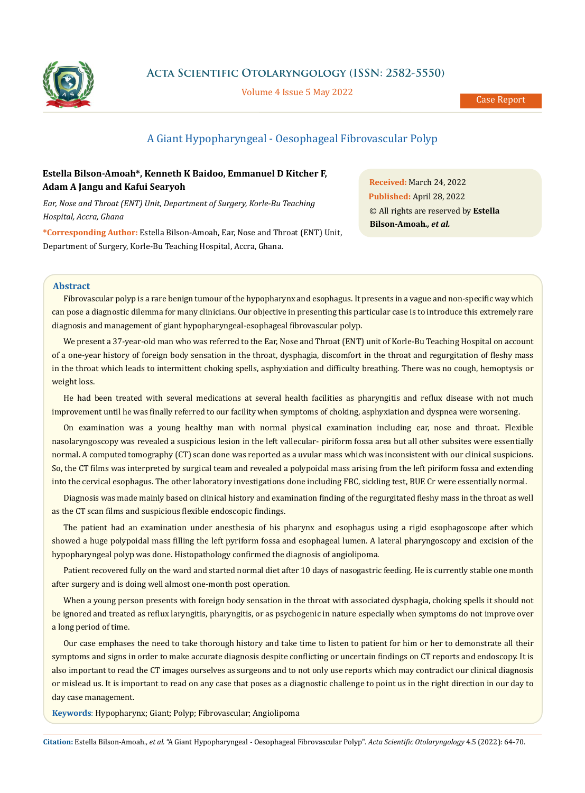

**Acta Scientific Otolaryngology (ISSN: 2582-5550)**

Volume 4 Issue 5 May 2022

Case Report

# A Giant Hypopharyngeal - Oesophageal Fibrovascular Polyp

## **Estella Bilson-Amoah\*, Kenneth K Baidoo, Emmanuel D Kitcher F, Adam A Jangu and Kafui Searyoh**

*Ear, Nose and Throat (ENT) Unit, Department of Surgery, Korle-Bu Teaching Hospital, Accra, Ghana*

**\*Corresponding Author:** Estella Bilson-Amoah, Ear, Nose and Throat (ENT) Unit, Department of Surgery, Korle-Bu Teaching Hospital, Accra, Ghana.

**Received:** March 24, 2022 **Published:** April 28, 2022 © All rights are reserved by **Estella Bilson-Amoah***., et al.*

### **Abstract**

Fibrovascular polyp is a rare benign tumour of the hypopharynx and esophagus. It presents in a vague and non-specific way which can pose a diagnostic dilemma for many clinicians. Our objective in presenting this particular case is to introduce this extremely rare diagnosis and management of giant hypopharyngeal-esophageal fibrovascular polyp.

We present a 37-year-old man who was referred to the Ear, Nose and Throat (ENT) unit of Korle-Bu Teaching Hospital on account of a one-year history of foreign body sensation in the throat, dysphagia, discomfort in the throat and regurgitation of fleshy mass in the throat which leads to intermittent choking spells, asphyxiation and difficulty breathing. There was no cough, hemoptysis or weight loss.

He had been treated with several medications at several health facilities as pharyngitis and reflux disease with not much improvement until he was finally referred to our facility when symptoms of choking, asphyxiation and dyspnea were worsening.

On examination was a young healthy man with normal physical examination including ear, nose and throat. Flexible nasolaryngoscopy was revealed a suspicious lesion in the left vallecular- piriform fossa area but all other subsites were essentially normal. A computed tomography (CT) scan done was reported as a uvular mass which was inconsistent with our clinical suspicions. So, the CT films was interpreted by surgical team and revealed a polypoidal mass arising from the left piriform fossa and extending into the cervical esophagus. The other laboratory investigations done including FBC, sickling test, BUE Cr were essentially normal.

Diagnosis was made mainly based on clinical history and examination finding of the regurgitated fleshy mass in the throat as well as the CT scan films and suspicious flexible endoscopic findings.

The patient had an examination under anesthesia of his pharynx and esophagus using a rigid esophagoscope after which showed a huge polypoidal mass filling the left pyriform fossa and esophageal lumen. A lateral pharyngoscopy and excision of the hypopharyngeal polyp was done. Histopathology confirmed the diagnosis of angiolipoma.

Patient recovered fully on the ward and started normal diet after 10 days of nasogastric feeding. He is currently stable one month after surgery and is doing well almost one-month post operation.

When a young person presents with foreign body sensation in the throat with associated dysphagia, choking spells it should not be ignored and treated as reflux laryngitis, pharyngitis, or as psychogenic in nature especially when symptoms do not improve over a long period of time.

Our case emphases the need to take thorough history and take time to listen to patient for him or her to demonstrate all their symptoms and signs in order to make accurate diagnosis despite conflicting or uncertain findings on CT reports and endoscopy. It is also important to read the CT images ourselves as surgeons and to not only use reports which may contradict our clinical diagnosis or mislead us. It is important to read on any case that poses as a diagnostic challenge to point us in the right direction in our day to day case management.

**Keywords**: Hypopharynx; Giant; Polyp; Fibrovascular; Angiolipoma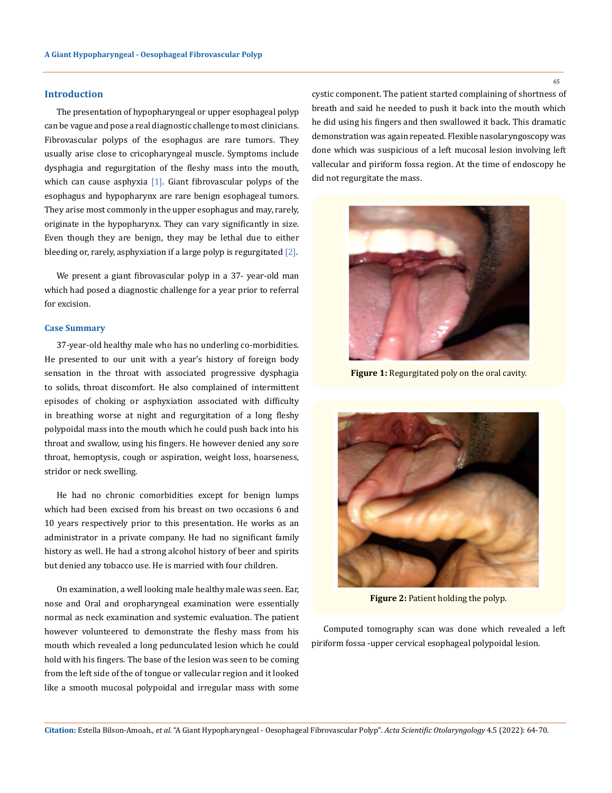#### **Introduction**

The presentation of hypopharyngeal or upper esophageal polyp can be vague and pose a real diagnostic challenge to most clinicians. Fibrovascular polyps of the esophagus are rare tumors. They usually arise close to cricopharyngeal muscle. Symptoms include dysphagia and regurgitation of the fleshy mass into the mouth, which can cause asphyxia  $[1]$ . Giant fibrovascular polyps of the esophagus and hypopharynx are rare benign esophageal tumors. They arise most commonly in the upper esophagus and may, rarely, originate in the hypopharynx. They can vary significantly in size. Even though they are benign, they may be lethal due to either bleeding or, rarely, asphyxiation if a large polyp is regurgitated  $[2]$ .

We present a giant fibrovascular polyp in a 37- year-old man which had posed a diagnostic challenge for a year prior to referral for excision.

#### **Case Summary**

37-year-old healthy male who has no underling co-morbidities. He presented to our unit with a year's history of foreign body sensation in the throat with associated progressive dysphagia to solids, throat discomfort. He also complained of intermittent episodes of choking or asphyxiation associated with difficulty in breathing worse at night and regurgitation of a long fleshy polypoidal mass into the mouth which he could push back into his throat and swallow, using his fingers. He however denied any sore throat, hemoptysis, cough or aspiration, weight loss, hoarseness, stridor or neck swelling.

He had no chronic comorbidities except for benign lumps which had been excised from his breast on two occasions 6 and 10 years respectively prior to this presentation. He works as an administrator in a private company. He had no significant family history as well. He had a strong alcohol history of beer and spirits but denied any tobacco use. He is married with four children.

On examination, a well looking male healthy male was seen. Ear, nose and Oral and oropharyngeal examination were essentially normal as neck examination and systemic evaluation. The patient however volunteered to demonstrate the fleshy mass from his mouth which revealed a long pedunculated lesion which he could hold with his fingers. The base of the lesion was seen to be coming from the left side of the of tongue or vallecular region and it looked like a smooth mucosal polypoidal and irregular mass with some

cystic component. The patient started complaining of shortness of breath and said he needed to push it back into the mouth which he did using his fingers and then swallowed it back. This dramatic demonstration was again repeated. Flexible nasolaryngoscopy was done which was suspicious of a left mucosal lesion involving left vallecular and piriform fossa region. At the time of endoscopy he did not regurgitate the mass.



**Figure 1:** Regurgitated poly on the oral cavity.



**Figure 2: Patient holding the polyp.** 

Computed tomography scan was done which revealed a left piriform fossa -upper cervical esophageal polypoidal lesion.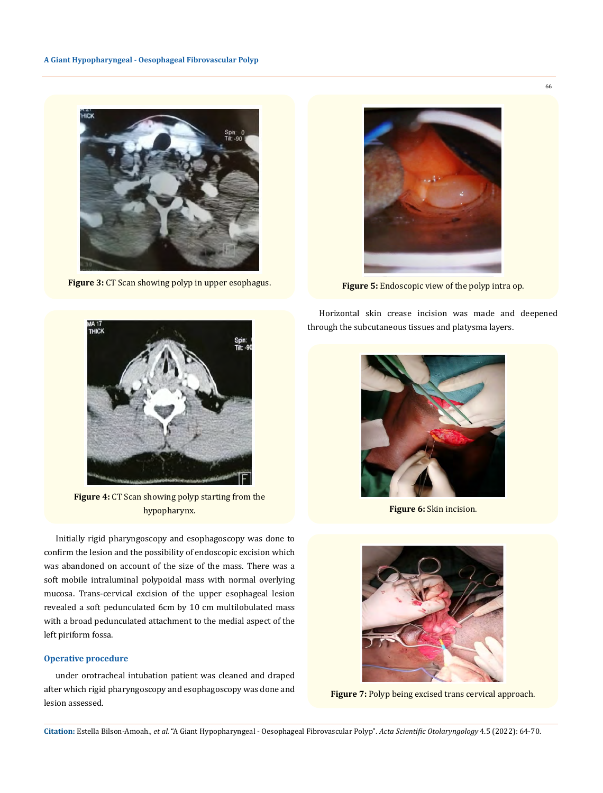

**Figure 3:** CT Scan showing polyp in upper esophagus.



**Figure 5:** Endoscopic view of the polyp intra op.

Horizontal skin crease incision was made and deepened through the subcutaneous tissues and platysma layers.



**Figure 6:** Skin incision.



**Figure 7:** Polyp being excised trans cervical approach.



**Figure 4:** CT Scan showing polyp starting from the hypopharynx.

Initially rigid pharyngoscopy and esophagoscopy was done to confirm the lesion and the possibility of endoscopic excision which was abandoned on account of the size of the mass. There was a soft mobile intraluminal polypoidal mass with normal overlying mucosa. Trans-cervical excision of the upper esophageal lesion revealed a soft pedunculated 6cm by 10 cm multilobulated mass with a broad pedunculated attachment to the medial aspect of the left piriform fossa.

#### **Operative procedure**

under orotracheal intubation patient was cleaned and draped after which rigid pharyngoscopy and esophagoscopy was done and lesion assessed.

**Citation:** Estella Bilson-Amoah*., et al.* "A Giant Hypopharyngeal - Oesophageal Fibrovascular Polyp". *Acta Scientific Otolaryngology* 4.5 (2022): 64-70.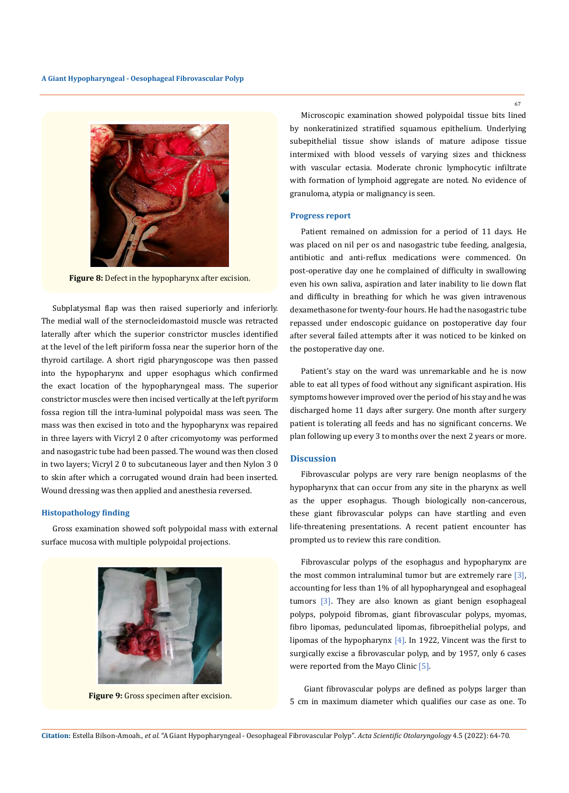

**Figure 8:** Defect in the hypopharynx after excision.

Subplatysmal flap was then raised superiorly and inferiorly. The medial wall of the sternocleidomastoid muscle was retracted laterally after which the superior constrictor muscles identified at the level of the left piriform fossa near the superior horn of the thyroid cartilage. A short rigid pharyngoscope was then passed into the hypopharynx and upper esophagus which confirmed the exact location of the hypopharyngeal mass. The superior constrictor muscles were then incised vertically at the left pyriform fossa region till the intra-luminal polypoidal mass was seen. The mass was then excised in toto and the hypopharynx was repaired in three layers with Vicryl 2 0 after cricomyotomy was performed and nasogastric tube had been passed. The wound was then closed in two layers; Vicryl 2 0 to subcutaneous layer and then Nylon 3 0 to skin after which a corrugated wound drain had been inserted. Wound dressing was then applied and anesthesia reversed.

#### **Histopathology finding**

Gross examination showed soft polypoidal mass with external surface mucosa with multiple polypoidal projections.



**Figure 9:** Gross specimen after excision.

Microscopic examination showed polypoidal tissue bits lined by nonkeratinized stratified squamous epithelium. Underlying subepithelial tissue show islands of mature adipose tissue intermixed with blood vessels of varying sizes and thickness with vascular ectasia. Moderate chronic lymphocytic infiltrate with formation of lymphoid aggregate are noted. No evidence of granuloma, atypia or malignancy is seen.

#### **Progress report**

Patient remained on admission for a period of 11 days. He was placed on nil per os and nasogastric tube feeding, analgesia, antibiotic and anti-reflux medications were commenced. On post-operative day one he complained of difficulty in swallowing even his own saliva, aspiration and later inability to lie down flat and difficulty in breathing for which he was given intravenous dexamethasone for twenty-four hours. He had the nasogastric tube repassed under endoscopic guidance on postoperative day four after several failed attempts after it was noticed to be kinked on the postoperative day one.

Patient's stay on the ward was unremarkable and he is now able to eat all types of food without any significant aspiration. His symptoms however improved over the period of his stay and he was discharged home 11 days after surgery. One month after surgery patient is tolerating all feeds and has no significant concerns. We plan following up every 3 to months over the next 2 years or more.

#### **Discussion**

Fibrovascular polyps are very rare benign neoplasms of the hypopharynx that can occur from any site in the pharynx as well as the upper esophagus. Though biologically non-cancerous, these giant fibrovascular polyps can have startling and even life-threatening presentations. A recent patient encounter has prompted us to review this rare condition.

Fibrovascular polyps of the esophagus and hypopharynx are the most common intraluminal tumor but are extremely rare  $[3]$ , accounting for less than 1% of all hypopharyngeal and esophageal tumors [3]. They are also known as giant benign esophageal polyps, polypoid fibromas, giant fibrovascular polyps, myomas, fibro lipomas, pedunculated lipomas, fibroepithelial polyps, and lipomas of the hypopharynx [4]. In 1922, Vincent was the first to surgically excise a fibrovascular polyp, and by 1957, only 6 cases were reported from the Mayo Clinic [5].

 Giant fibrovascular polyps are defined as polyps larger than 5 cm in maximum diameter which qualifies our case as one. To

67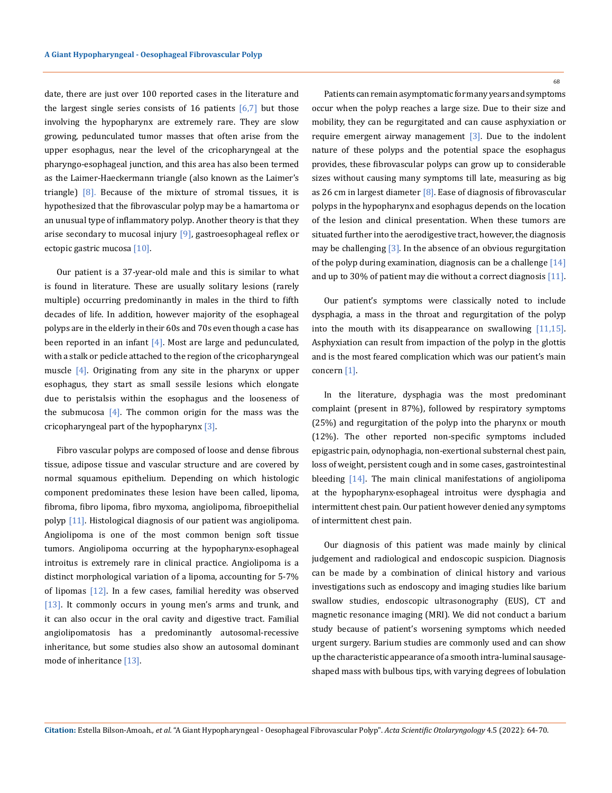date, there are just over 100 reported cases in the literature and the largest single series consists of 16 patients  $\lceil 6, 7 \rceil$  but those involving the hypopharynx are extremely rare. They are slow growing, pedunculated tumor masses that often arise from the upper esophagus, near the level of the cricopharyngeal at the pharyngo-esophageal junction, and this area has also been termed as the Laimer-Haeckermann triangle (also known as the Laimer's triangle)  $[8]$ . Because of the mixture of stromal tissues, it is hypothesized that the fibrovascular polyp may be a hamartoma or an unusual type of inflammatory polyp. Another theory is that they arise secondary to mucosal injury [9], gastroesophageal reflex or ectopic gastric mucosa [10].

Our patient is a 37-year-old male and this is similar to what is found in literature. These are usually solitary lesions (rarely multiple) occurring predominantly in males in the third to fifth decades of life. In addition, however majority of the esophageal polyps are in the elderly in their 60s and 70s even though a case has been reported in an infant  $[4]$ . Most are large and pedunculated, with a stalk or pedicle attached to the region of the cricopharyngeal muscle [4]. Originating from any site in the pharynx or upper esophagus, they start as small sessile lesions which elongate due to peristalsis within the esophagus and the looseness of the submucosa  $[4]$ . The common origin for the mass was the cricopharyngeal part of the hypopharynx  $[3]$ .

Fibro vascular polyps are composed of loose and dense fibrous tissue, adipose tissue and vascular structure and are covered by normal squamous epithelium. Depending on which histologic component predominates these lesion have been called, lipoma, fibroma, fibro lipoma, fibro myxoma, angiolipoma, fibroepithelial polyp [11]. Histological diagnosis of our patient was angiolipoma. Angiolipoma is one of the most common benign soft tissue tumors. Angiolipoma occurring at the hypopharynx-esophageal introitus is extremely rare in clinical practice. Angiolipoma is a distinct morphological variation of a lipoma, accounting for 5-7% of lipomas  $[12]$ . In a few cases, familial heredity was observed [13]. It commonly occurs in young men's arms and trunk, and it can also occur in the oral cavity and digestive tract. Familial angiolipomatosis has a predominantly autosomal-recessive inheritance, but some studies also show an autosomal dominant mode of inheritance [13].

68

Patients can remain asymptomatic for many years and symptoms occur when the polyp reaches a large size. Due to their size and mobility, they can be regurgitated and can cause asphyxiation or require emergent airway management [3]. Due to the indolent nature of these polyps and the potential space the esophagus provides, these fibrovascular polyps can grow up to considerable sizes without causing many symptoms till late, measuring as big as 26 cm in largest diameter  $[8]$ . Ease of diagnosis of fibrovascular polyps in the hypopharynx and esophagus depends on the location of the lesion and clinical presentation. When these tumors are situated further into the aerodigestive tract, however, the diagnosis may be challenging [3]. In the absence of an obvious regurgitation of the polyp during examination, diagnosis can be a challenge [14] and up to 30% of patient may die without a correct diagnosis [11].

Our patient's symptoms were classically noted to include dysphagia, a mass in the throat and regurgitation of the polyp into the mouth with its disappearance on swallowing [11,15]. Asphyxiation can result from impaction of the polyp in the glottis and is the most feared complication which was our patient's main concern [1].

In the literature, dysphagia was the most predominant complaint (present in 87%), followed by respiratory symptoms (25%) and regurgitation of the polyp into the pharynx or mouth (12%). The other reported non-specific symptoms included epigastric pain, odynophagia, non-exertional substernal chest pain, loss of weight, persistent cough and in some cases, gastrointestinal bleeding [14]. The main clinical manifestations of angiolipoma at the hypopharynx-esophageal introitus were dysphagia and intermittent chest pain. Our patient however denied any symptoms of intermittent chest pain.

Our diagnosis of this patient was made mainly by clinical judgement and radiological and endoscopic suspicion. Diagnosis can be made by a combination of clinical history and various investigations such as endoscopy and imaging studies like barium swallow studies, endoscopic ultrasonography (EUS), CT and magnetic resonance imaging (MRI). We did not conduct a barium study because of patient's worsening symptoms which needed urgent surgery. Barium studies are commonly used and can show up the characteristic appearance of a smooth intra-luminal sausageshaped mass with bulbous tips, with varying degrees of lobulation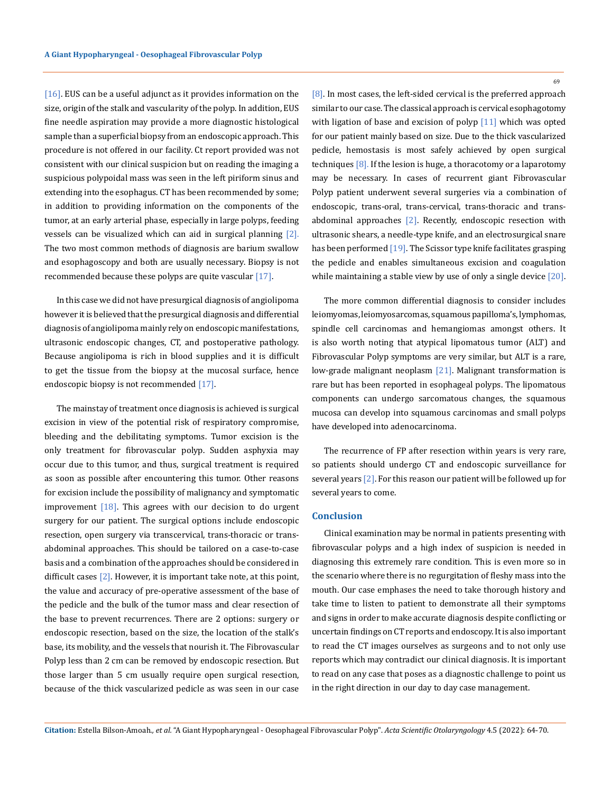[16]. EUS can be a useful adjunct as it provides information on the size, origin of the stalk and vascularity of the polyp. In addition, EUS fine needle aspiration may provide a more diagnostic histological sample than a superficial biopsy from an endoscopic approach. This procedure is not offered in our facility. Ct report provided was not consistent with our clinical suspicion but on reading the imaging a suspicious polypoidal mass was seen in the left piriform sinus and extending into the esophagus. CT has been recommended by some; in addition to providing information on the components of the tumor, at an early arterial phase, especially in large polyps, feeding vessels can be visualized which can aid in surgical planning [2]. The two most common methods of diagnosis are barium swallow and esophagoscopy and both are usually necessary. Biopsy is not recommended because these polyps are quite vascular [17].

In this case we did not have presurgical diagnosis of angiolipoma however it is believed that the presurgical diagnosis and differential diagnosis of angiolipoma mainly rely on endoscopic manifestations, ultrasonic endoscopic changes, CT, and postoperative pathology. Because angiolipoma is rich in blood supplies and it is difficult to get the tissue from the biopsy at the mucosal surface, hence endoscopic biopsy is not recommended [17].

The mainstay of treatment once diagnosis is achieved is surgical excision in view of the potential risk of respiratory compromise, bleeding and the debilitating symptoms. Tumor excision is the only treatment for fibrovascular polyp. Sudden asphyxia may occur due to this tumor, and thus, surgical treatment is required as soon as possible after encountering this tumor. Other reasons for excision include the possibility of malignancy and symptomatic improvement  $[18]$ . This agrees with our decision to do urgent surgery for our patient. The surgical options include endoscopic resection, open surgery via transcervical, trans-thoracic or transabdominal approaches. This should be tailored on a case-to-case basis and a combination of the approaches should be considered in difficult cases  $[2]$ . However, it is important take note, at this point, the value and accuracy of pre-operative assessment of the base of the pedicle and the bulk of the tumor mass and clear resection of the base to prevent recurrences. There are 2 options: surgery or endoscopic resection, based on the size, the location of the stalk's base, its mobility, and the vessels that nourish it. The Fibrovascular Polyp less than 2 cm can be removed by endoscopic resection. But those larger than 5 cm usually require open surgical resection, because of the thick vascularized pedicle as was seen in our case

[8]. In most cases, the left-sided cervical is the preferred approach similar to our case. The classical approach is cervical esophagotomy with ligation of base and excision of polyp [11] which was opted for our patient mainly based on size. Due to the thick vascularized pedicle, hemostasis is most safely achieved by open surgical techniques [8]. If the lesion is huge, a thoracotomy or a laparotomy may be necessary. In cases of recurrent giant Fibrovascular Polyp patient underwent several surgeries via a combination of endoscopic, trans-oral, trans-cervical, trans-thoracic and transabdominal approaches [2]. Recently, endoscopic resection with ultrasonic shears, a needle-type knife, and an electrosurgical snare has been performed [19]. The Scissor type knife facilitates grasping the pedicle and enables simultaneous excision and coagulation while maintaining a stable view by use of only a single device [20].

The more common differential diagnosis to consider includes leiomyomas, leiomyosarcomas, squamous papilloma's, lymphomas, spindle cell carcinomas and hemangiomas amongst others. It is also worth noting that atypical lipomatous tumor (ALT) and Fibrovascular Polyp symptoms are very similar, but ALT is a rare, low-grade malignant neoplasm [21]. Malignant transformation is rare but has been reported in esophageal polyps. The lipomatous components can undergo sarcomatous changes, the squamous mucosa can develop into squamous carcinomas and small polyps have developed into adenocarcinoma.

The recurrence of FP after resection within years is very rare, so patients should undergo CT and endoscopic surveillance for several years [2]. For this reason our patient will be followed up for several years to come.

#### **Conclusion**

Clinical examination may be normal in patients presenting with fibrovascular polyps and a high index of suspicion is needed in diagnosing this extremely rare condition. This is even more so in the scenario where there is no regurgitation of fleshy mass into the mouth. Our case emphases the need to take thorough history and take time to listen to patient to demonstrate all their symptoms and signs in order to make accurate diagnosis despite conflicting or uncertain findings on CT reports and endoscopy. It is also important to read the CT images ourselves as surgeons and to not only use reports which may contradict our clinical diagnosis. It is important to read on any case that poses as a diagnostic challenge to point us in the right direction in our day to day case management.

69